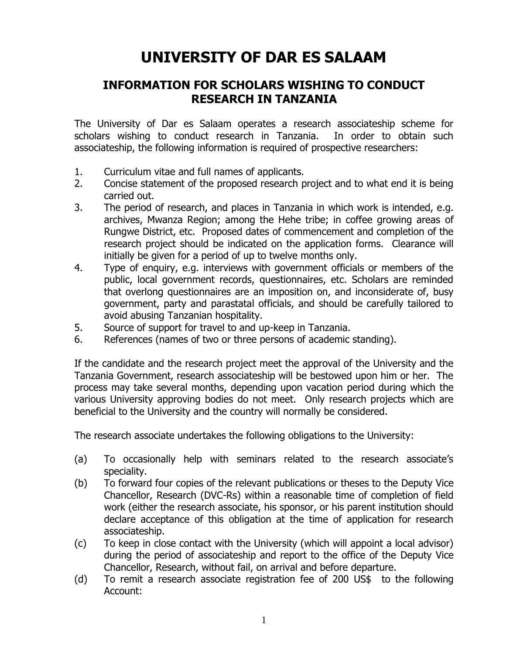## **UNIVERSITY OF DAR ES SALAAM**

## **INFORMATION FOR SCHOLARS WISHING TO CONDUCT RESEARCH IN TANZANIA**

The University of Dar es Salaam operates a research associateship scheme for scholars wishing to conduct research in Tanzania. In order to obtain such associateship, the following information is required of prospective researchers:

- 1. Curriculum vitae and full names of applicants.
- 2. Concise statement of the proposed research project and to what end it is being carried out.
- 3. The period of research, and places in Tanzania in which work is intended, e.g. archives, Mwanza Region; among the Hehe tribe; in coffee growing areas of Rungwe District, etc. Proposed dates of commencement and completion of the research project should be indicated on the application forms. Clearance will initially be given for a period of up to twelve months only.
- 4. Type of enquiry, e.g. interviews with government officials or members of the public, local government records, questionnaires, etc. Scholars are reminded that overlong questionnaires are an imposition on, and inconsiderate of, busy government, party and parastatal officials, and should be carefully tailored to avoid abusing Tanzanian hospitality.
- 5. Source of support for travel to and up-keep in Tanzania.
- 6. References (names of two or three persons of academic standing).

If the candidate and the research project meet the approval of the University and the Tanzania Government, research associateship will be bestowed upon him or her. The process may take several months, depending upon vacation period during which the various University approving bodies do not meet. Only research projects which are beneficial to the University and the country will normally be considered.

The research associate undertakes the following obligations to the University:

- (a) To occasionally help with seminars related to the research associate's speciality.
- (b) To forward four copies of the relevant publications or theses to the Deputy Vice Chancellor, Research (DVC-Rs) within a reasonable time of completion of field work (either the research associate, his sponsor, or his parent institution should declare acceptance of this obligation at the time of application for research associateship.
- (c) To keep in close contact with the University (which will appoint a local advisor) during the period of associateship and report to the office of the Deputy Vice Chancellor, Research, without fail, on arrival and before departure.
- (d) To remit a research associate registration fee of 200 US\$ to the following Account: